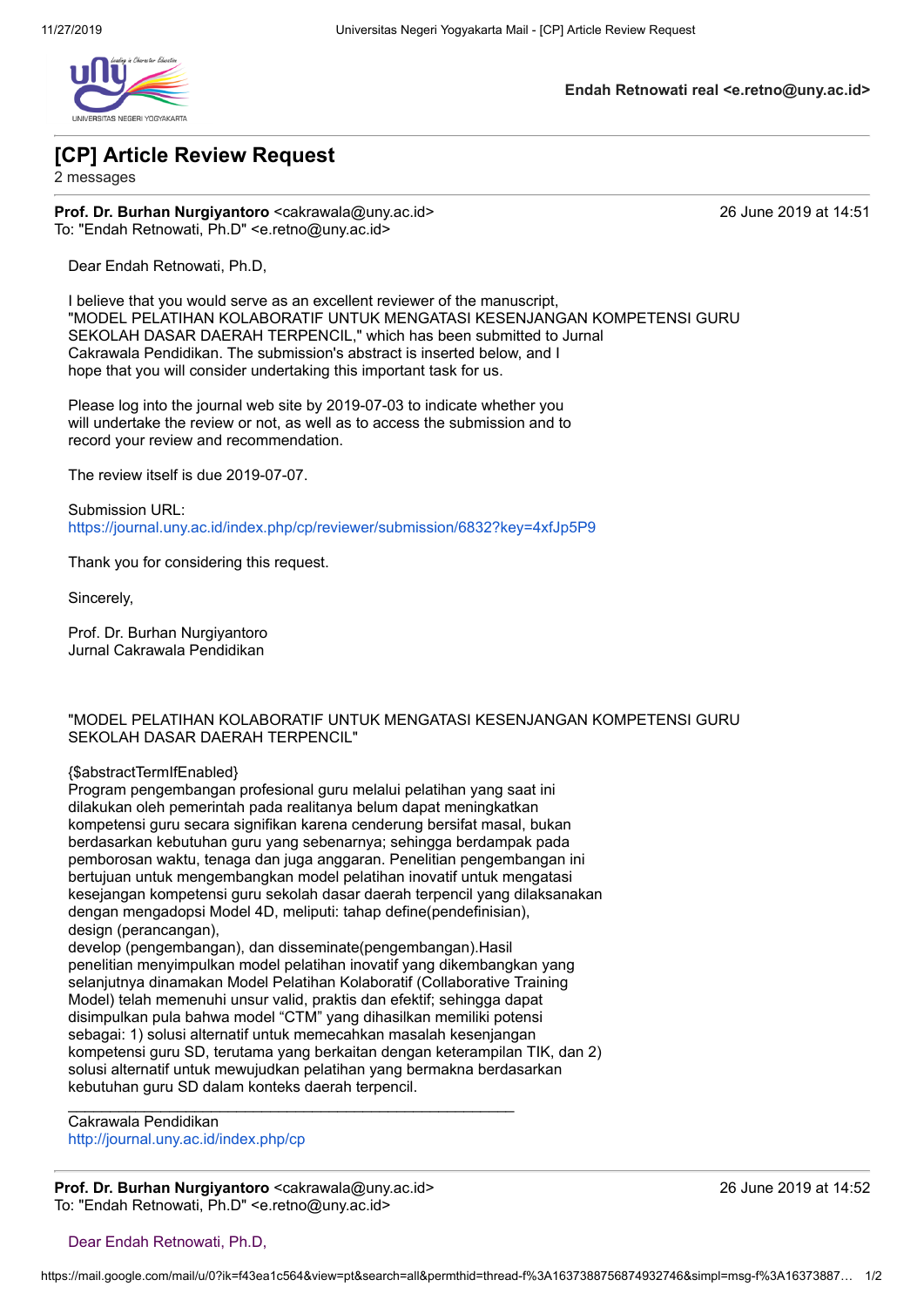

**Endah Retnowati real <e.retno@uny.ac.id>**

## **[CP] Article Review Request**

2 messages

**Prof. Dr. Burhan Nurgiyantoro** <cakrawala@uny.ac.id> 26 June 2019 at 14:51 To: "Endah Retnowati, Ph.D" <e.retno@uny.ac.id>

Dear Endah Retnowati, Ph.D,

I believe that you would serve as an excellent reviewer of the manuscript, "MODEL PELATIHAN KOLABORATIF UNTUK MENGATASI KESENJANGAN KOMPETENSI GURU SEKOLAH DASAR DAERAH TERPENCIL," which has been submitted to Jurnal Cakrawala Pendidikan. The submission's abstract is inserted below, and I hope that you will consider undertaking this important task for us.

Please log into the journal web site by 2019-07-03 to indicate whether you will undertake the review or not, as well as to access the submission and to record your review and recommendation.

The review itself is due 2019-07-07.

Submission URL: <https://journal.uny.ac.id/index.php/cp/reviewer/submission/6832?key=4xfJp5P9>

Thank you for considering this request.

Sincerely,

Prof. Dr. Burhan Nurgiyantoro Jurnal Cakrawala Pendidikan

### "MODEL PELATIHAN KOLABORATIF UNTUK MENGATASI KESENJANGAN KOMPETENSI GURU SEKOLAH DASAR DAERAH TERPENCIL"

#### {\$abstractTermIfEnabled}

Program pengembangan profesional guru melalui pelatihan yang saat ini dilakukan oleh pemerintah pada realitanya belum dapat meningkatkan kompetensi guru secara signifikan karena cenderung bersifat masal, bukan berdasarkan kebutuhan guru yang sebenarnya; sehingga berdampak pada pemborosan waktu, tenaga dan juga anggaran. Penelitian pengembangan ini bertujuan untuk mengembangkan model pelatihan inovatif untuk mengatasi kesejangan kompetensi guru sekolah dasar daerah terpencil yang dilaksanakan dengan mengadopsi Model 4D, meliputi: tahap define(pendefinisian), design (perancangan).

develop (pengembangan), dan disseminate(pengembangan).Hasil penelitian menyimpulkan model pelatihan inovatif yang dikembangkan yang selanjutnya dinamakan Model Pelatihan Kolaboratif (Collaborative Training Model) telah memenuhi unsur valid, praktis dan efektif; sehingga dapat disimpulkan pula bahwa model "CTM" yang dihasilkan memiliki potensi sebagai: 1) solusi alternatif untuk memecahkan masalah kesenjangan kompetensi guru SD, terutama yang berkaitan dengan keterampilan TIK, dan 2) solusi alternatif untuk mewujudkan pelatihan yang bermakna berdasarkan kebutuhan guru SD dalam konteks daerah terpencil.

 $\mathcal{L}_\text{max}$  and  $\mathcal{L}_\text{max}$  and  $\mathcal{L}_\text{max}$  and  $\mathcal{L}_\text{max}$  and  $\mathcal{L}_\text{max}$ 

Cakrawala Pendidikan <http://journal.uny.ac.id/index.php/cp>

**Prof. Dr. Burhan Nurgiyantoro** <cakrawala@uny.ac.id> 26 June 2019 at 14:52 To: "Endah Retnowati, Ph.D" <e.retno@uny.ac.id>

Dear Endah Retnowati, Ph.D,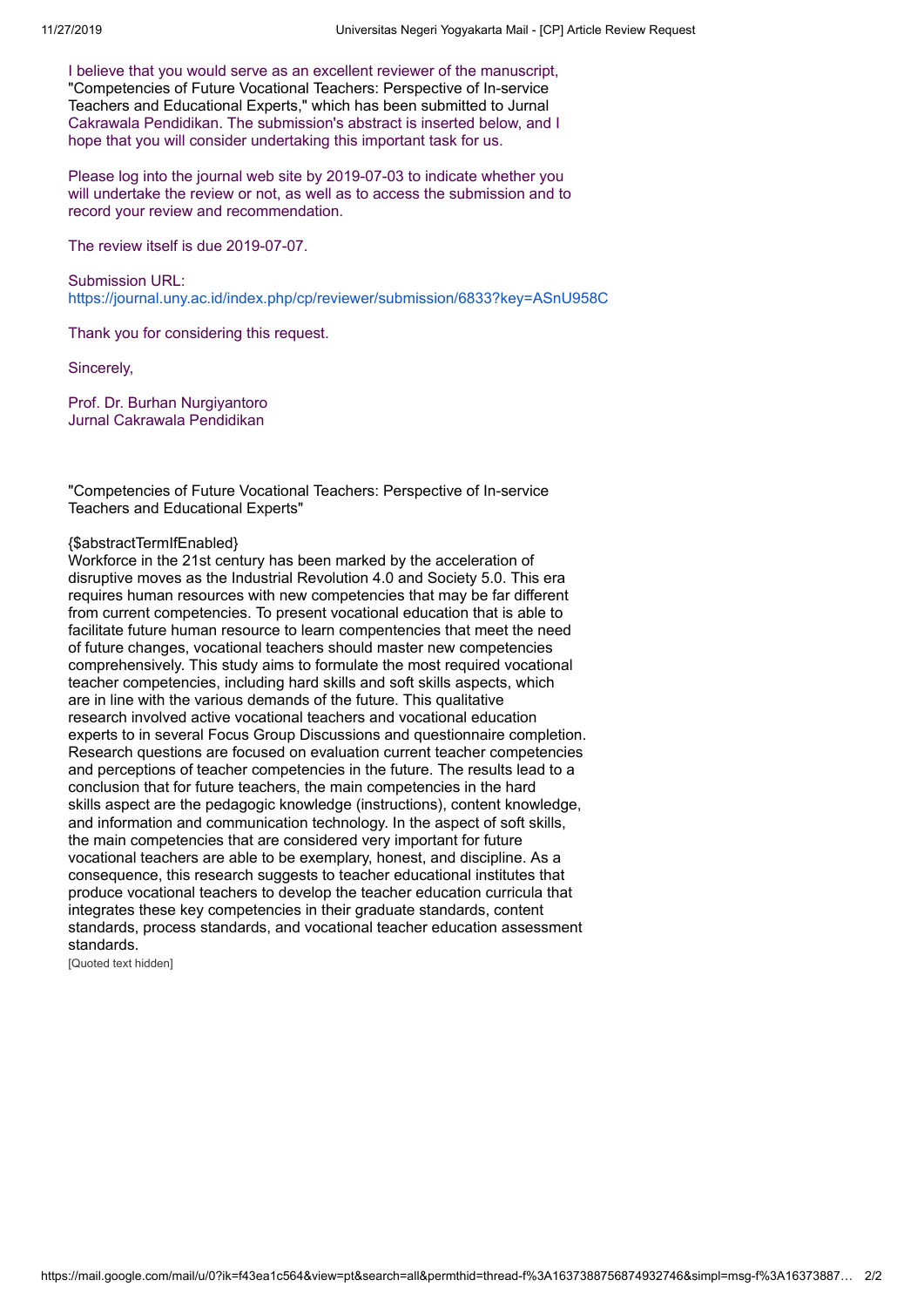I believe that you would serve as an excellent reviewer of the manuscript, "Competencies of Future Vocational Teachers: Perspective of In-service Teachers and Educational Experts," which has been submitted to Jurnal Cakrawala Pendidikan. The submission's abstract is inserted below, and I hope that you will consider undertaking this important task for us.

Please log into the journal web site by 2019-07-03 to indicate whether you will undertake the review or not, as well as to access the submission and to record your review and recommendation.

The review itself is due 2019-07-07.

Submission URL: <https://journal.uny.ac.id/index.php/cp/reviewer/submission/6833?key=ASnU958C>

Thank you for considering this request.

Sincerely,

Prof. Dr. Burhan Nurgiyantoro Jurnal Cakrawala Pendidikan

"Competencies of Future Vocational Teachers: Perspective of In-service Teachers and Educational Experts"

#### {\$abstractTermIfEnabled}

Workforce in the 21st century has been marked by the acceleration of disruptive moves as the Industrial Revolution 4.0 and Society 5.0. This era requires human resources with new competencies that may be far different from current competencies. To present vocational education that is able to facilitate future human resource to learn compentencies that meet the need of future changes, vocational teachers should master new competencies comprehensively. This study aims to formulate the most required vocational teacher competencies, including hard skills and soft skills aspects, which are in line with the various demands of the future. This qualitative research involved active vocational teachers and vocational education experts to in several Focus Group Discussions and questionnaire completion. Research questions are focused on evaluation current teacher competencies and perceptions of teacher competencies in the future. The results lead to a conclusion that for future teachers, the main competencies in the hard skills aspect are the pedagogic knowledge (instructions), content knowledge, and information and communication technology. In the aspect of soft skills, the main competencies that are considered very important for future vocational teachers are able to be exemplary, honest, and discipline. As a consequence, this research suggests to teacher educational institutes that produce vocational teachers to develop the teacher education curricula that integrates these key competencies in their graduate standards, content standards, process standards, and vocational teacher education assessment standards.

[Quoted text hidden]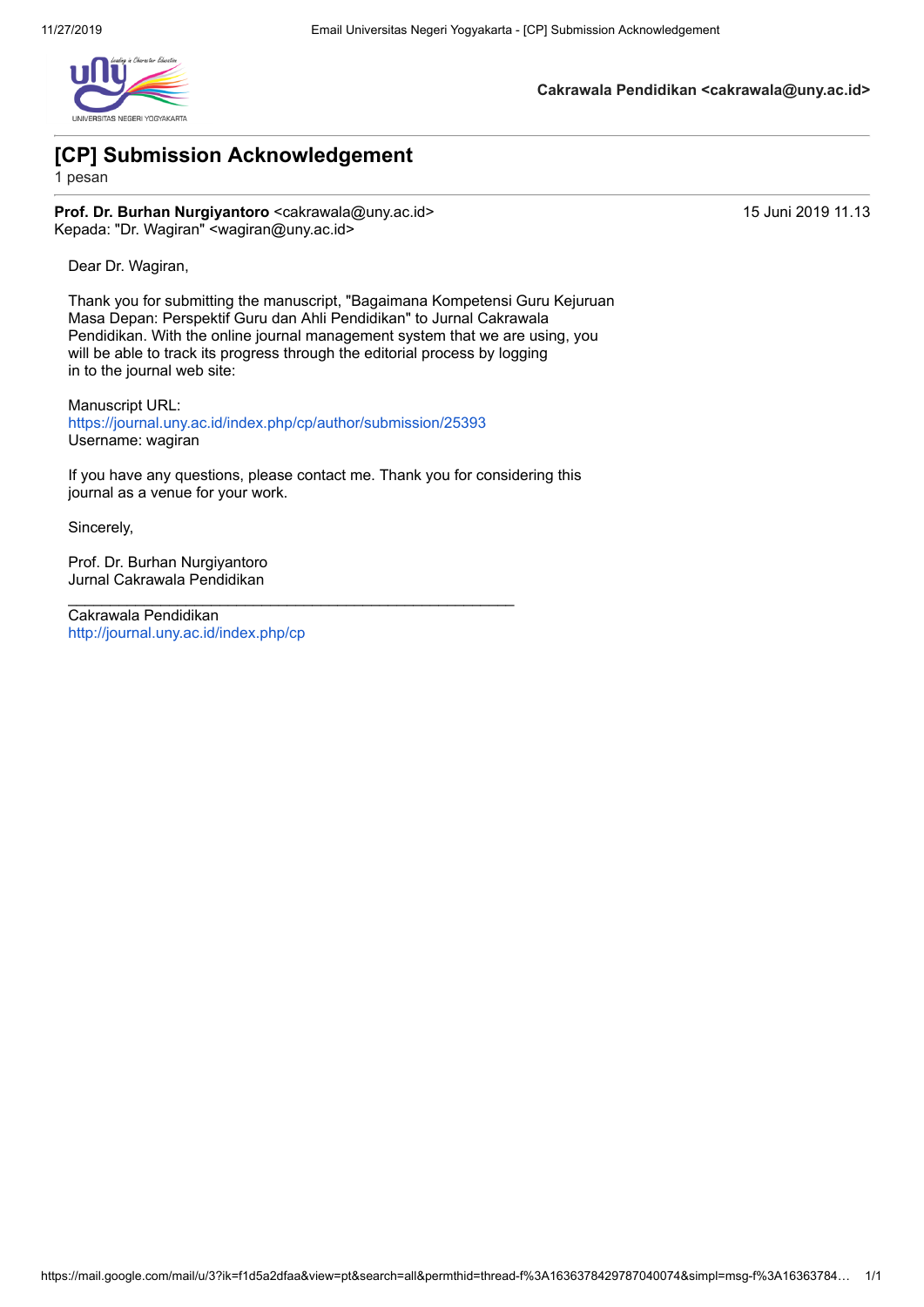

**Cakrawala Pendidikan <cakrawala@uny.ac.id>**

# **[CP] Submission Acknowledgement**

1 pesan

**Prof. Dr. Burhan Nurgiyantoro <cakrawala@uny.ac.id> 15 Juni 2019 11.13 Juni 2019 11.13** Kepada: "Dr. Wagiran" <wagiran@uny.ac.id>

Dear Dr. Wagiran,

Thank you for submitting the manuscript, "Bagaimana Kompetensi Guru Kejuruan Masa Depan: Perspektif Guru dan Ahli Pendidikan" to Jurnal Cakrawala Pendidikan. With the online journal management system that we are using, you will be able to track its progress through the editorial process by logging in to the journal web site:

Manuscript URL: <https://journal.uny.ac.id/index.php/cp/author/submission/25393> Username: wagiran

\_\_\_\_\_\_\_\_\_\_\_\_\_\_\_\_\_\_\_\_\_\_\_\_\_\_\_\_\_\_\_\_\_\_\_\_\_\_\_\_\_\_\_\_\_\_\_\_\_\_\_\_\_

If you have any questions, please contact me. Thank you for considering this journal as a venue for your work.

Sincerely,

Prof. Dr. Burhan Nurgiyantoro Jurnal Cakrawala Pendidikan

Cakrawala Pendidikan <http://journal.uny.ac.id/index.php/cp>